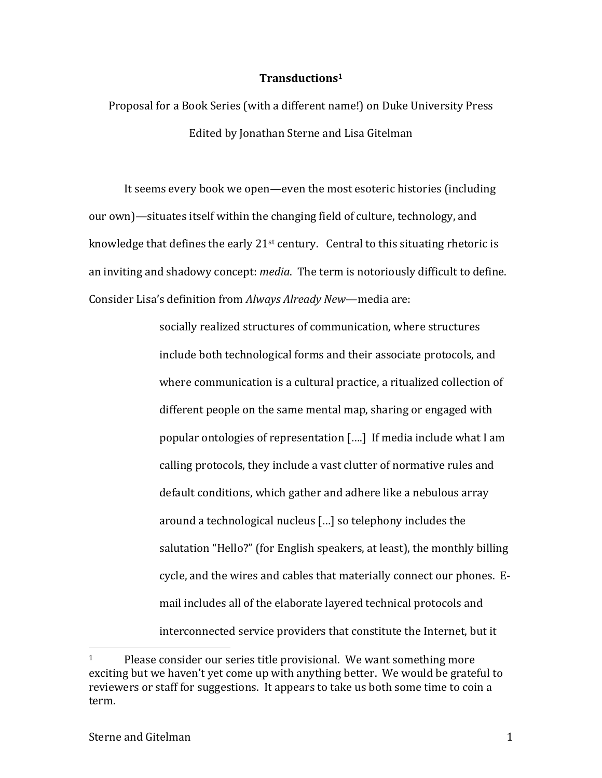## **Transductions1**

Proposal for a Book Series (with a different name!) on Duke University Press Edited by Jonathan Sterne and Lisa Gitelman

It seems every book we open—even the most esoteric histories (including our own)—situates itself within the changing field of culture, technology, and knowledge that defines the early  $21^{st}$  century. Central to this situating rhetoric is an inviting and shadowy concept: *media*. The term is notoriously difficult to define. Consider Lisa's definition from *Always Already New*—media are:

> socially realized structures of communication, where structures include both technological forms and their associate protocols, and where communication is a cultural practice, a ritualized collection of different people on the same mental map, sharing or engaged with popular ontologies of representation [....] If media include what I am calling protocols, they include a vast clutter of normative rules and default conditions, which gather and adhere like a nebulous array around a technological nucleus [...] so telephony includes the salutation "Hello?" (for English speakers, at least), the monthly billing cycle, and the wires and cables that materially connect our phones. Email includes all of the elaborate layered technical protocols and interconnected service providers that constitute the Internet, but it

 $1$  Please consider our series title provisional. We want something more exciting but we haven't yet come up with anything better. We would be grateful to reviewers or staff for suggestions. It appears to take us both some time to coin a term.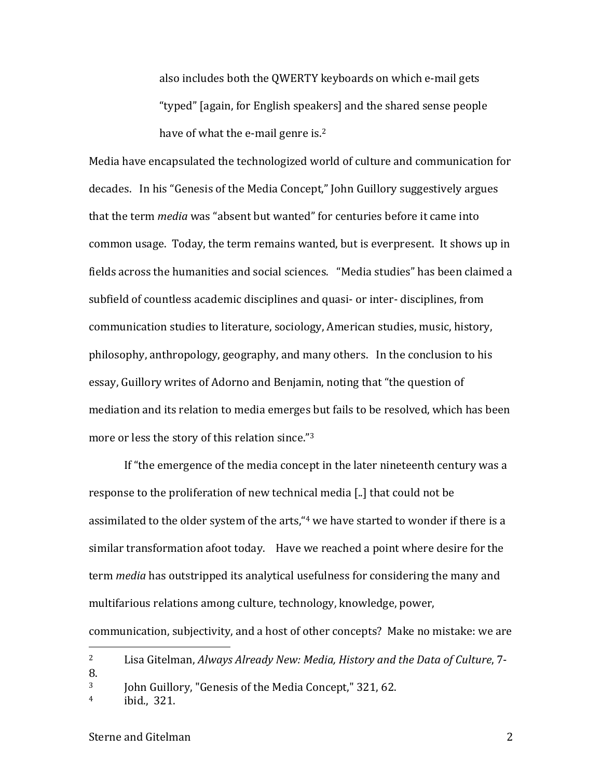also includes both the OWERTY keyboards on which e-mail gets "typed" (again, for English speakers) and the shared sense people have of what the e-mail genre is. $2<sup>2</sup>$ 

Media have encapsulated the technologized world of culture and communication for decades. In his "Genesis of the Media Concept," John Guillory suggestively argues that the term *media* was "absent but wanted" for centuries before it came into common usage. Today, the term remains wanted, but is everpresent. It shows up in fields across the humanities and social sciences. "Media studies" has been claimed a subfield of countless academic disciplines and quasi- or inter- disciplines, from communication studies to literature, sociology, American studies, music, history, philosophy, anthropology, geography, and many others. In the conclusion to his essay, Guillory writes of Adorno and Benjamin, noting that "the question of mediation and its relation to media emerges but fails to be resolved, which has been more or less the story of this relation since."3

If "the emergence of the media concept in the later nineteenth century was a response to the proliferation of new technical media [..] that could not be assimilated to the older system of the arts, "4 we have started to wonder if there is a similar transformation afoot today. Have we reached a point where desire for the term *media* has outstripped its analytical usefulness for considering the many and multifarious relations among culture, technology, knowledge, power,

communication, subjectivity, and a host of other concepts? Make no mistake: we are

<sup>&</sup>lt;sup>2</sup> Lisa Gitelman, *Always Already New: Media, History and the Data of Culture*, 7-8.

<sup>&</sup>lt;sup>3</sup> John Guillory, "Genesis of the Media Concept," 321, 62.

 $4$  ibid., 321.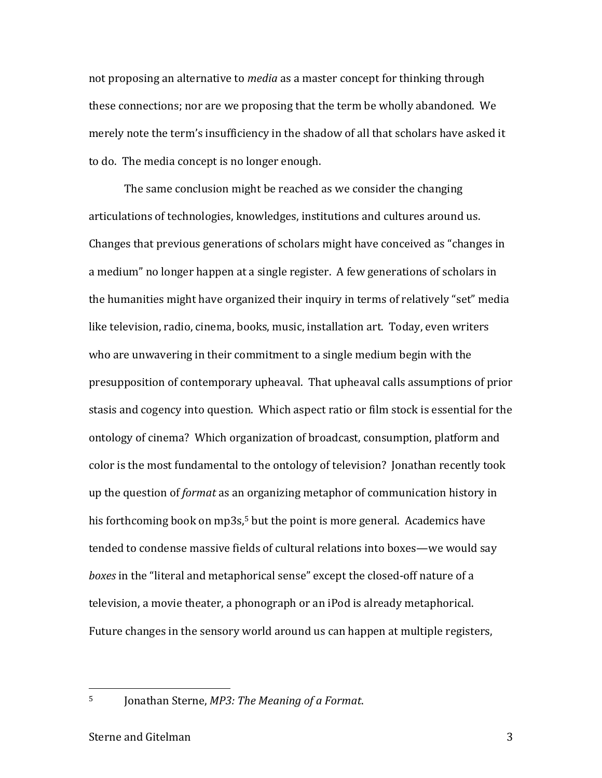not proposing an alternative to *media* as a master concept for thinking through these connections; nor are we proposing that the term be wholly abandoned. We merely note the term's insufficiency in the shadow of all that scholars have asked it to do. The media concept is no longer enough.

The same conclusion might be reached as we consider the changing articulations of technologies, knowledges, institutions and cultures around us. Changes that previous generations of scholars might have conceived as "changes in a medium" no longer happen at a single register. A few generations of scholars in the humanities might have organized their inquiry in terms of relatively "set" media like television, radio, cinema, books, music, installation art. Today, even writers who are unwavering in their commitment to a single medium begin with the presupposition of contemporary upheaval. That upheaval calls assumptions of prior stasis and cogency into question. Which aspect ratio or film stock is essential for the ontology of cinema? Which organization of broadcast, consumption, platform and color is the most fundamental to the ontology of television? Jonathan recently took up the question of *format* as an organizing metaphor of communication history in his forthcoming book on  $mp3s$ <sup>5</sup> but the point is more general. Academics have tended to condense massive fields of cultural relations into boxes—we would say *boxes* in the "literal and metaphorical sense" except the closed-off nature of a television, a movie theater, a phonograph or an iPod is already metaphorical. Future changes in the sensory world around us can happen at multiple registers,

<sup>5</sup> Jonathan Sterne, *MP3: The Meaning of a Format*.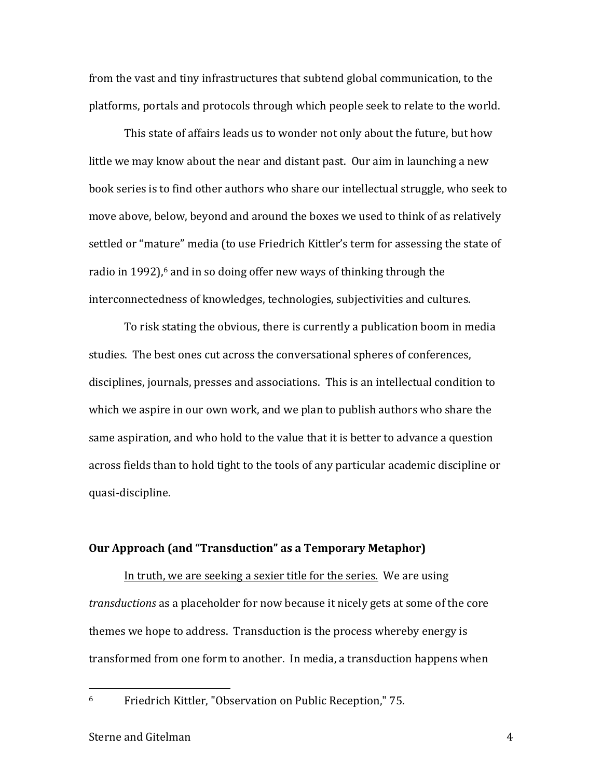from the vast and tiny infrastructures that subtend global communication, to the platforms, portals and protocols through which people seek to relate to the world.

This state of affairs leads us to wonder not only about the future, but how little we may know about the near and distant past. Our aim in launching a new book series is to find other authors who share our intellectual struggle, who seek to move above, below, beyond and around the boxes we used to think of as relatively settled or "mature" media (to use Friedrich Kittler's term for assessing the state of radio in 1992), $\epsilon$  and in so doing offer new ways of thinking through the interconnectedness of knowledges, technologies, subjectivities and cultures.

To risk stating the obvious, there is currently a publication boom in media studies. The best ones cut across the conversational spheres of conferences, disciplines, journals, presses and associations. This is an intellectual condition to which we aspire in our own work, and we plan to publish authors who share the same aspiration, and who hold to the value that it is better to advance a question across fields than to hold tight to the tools of any particular academic discipline or quasi-discipline.

## **Our Approach (and "Transduction" as a Temporary Metaphor)**

In truth, we are seeking a sexier title for the series. We are using *transductions* as a placeholder for now because it nicely gets at some of the core themes we hope to address. Transduction is the process whereby energy is transformed from one form to another. In media, a transduction happens when

<sup>&</sup>lt;sup>6</sup> Friedrich Kittler, "Observation on Public Reception," 75.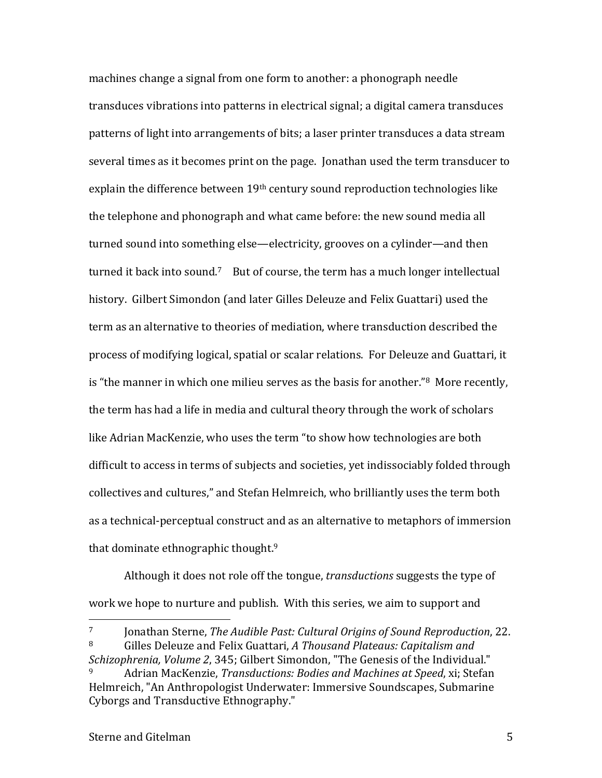machines change a signal from one form to another: a phonograph needle transduces vibrations into patterns in electrical signal; a digital camera transduces patterns of light into arrangements of bits; a laser printer transduces a data stream several times as it becomes print on the page. Jonathan used the term transducer to explain the difference between  $19<sup>th</sup>$  century sound reproduction technologies like the telephone and phonograph and what came before: the new sound media all turned sound into something else—electricity, grooves on a cylinder—and then turned it back into sound.<sup>7</sup> But of course, the term has a much longer intellectual history. Gilbert Simondon (and later Gilles Deleuze and Felix Guattari) used the term as an alternative to theories of mediation, where transduction described the process of modifying logical, spatial or scalar relations. For Deleuze and Guattari, it is "the manner in which one milieu serves as the basis for another." $8$  More recently, the term has had a life in media and cultural theory through the work of scholars like Adrian MacKenzie, who uses the term "to show how technologies are both difficult to access in terms of subjects and societies, yet indissociably folded through collectives and cultures," and Stefan Helmreich, who brilliantly uses the term both as a technical-perceptual construct and as an alternative to metaphors of immersion that dominate ethnographic thought. $9$ 

Although it does not role off the tongue, *transductions* suggests the type of work we hope to nurture and publish. With this series, we aim to support and

<sup>&</sup>lt;sup>7</sup> Jonathan Sterne, *The Audible Past: Cultural Origins of Sound Reproduction*, 22. <sup>8</sup> Gilles Deleuze and Felix Guattari, A Thousand Plateaus: Capitalism and

*Schizophrenia, Volume 2, 345; Gilbert Simondon,* "The Genesis of the Individual." Adrian MacKenzie, *Transductions: Bodies and Machines at Speed*, xi; Stefan Helmreich, "An Anthropologist Underwater: Immersive Soundscapes, Submarine Cyborgs and Transductive Ethnography."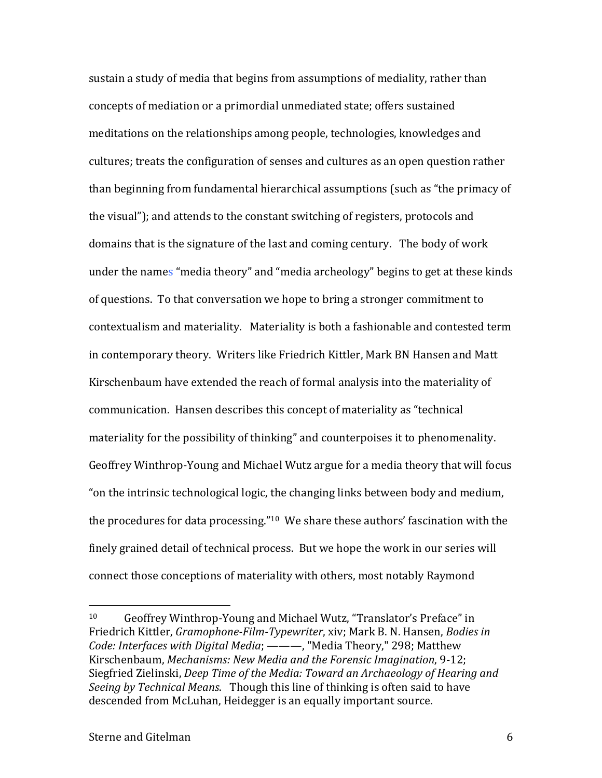sustain a study of media that begins from assumptions of mediality, rather than concepts of mediation or a primordial unmediated state; offers sustained meditations on the relationships among people, technologies, knowledges and cultures; treats the configuration of senses and cultures as an open question rather than beginning from fundamental hierarchical assumptions (such as "the primacy of the visual"); and attends to the constant switching of registers, protocols and domains that is the signature of the last and coming century. The body of work under the names "media theory" and "media archeology" begins to get at these kinds of questions. To that conversation we hope to bring a stronger commitment to contextualism and materiality. Materiality is both a fashionable and contested term in contemporary theory. Writers like Friedrich Kittler, Mark BN Hansen and Matt Kirschenbaum have extended the reach of formal analysis into the materiality of communication. Hansen describes this concept of materiality as "technical materiality for the possibility of thinking" and counterpoises it to phenomenality. Geoffrey Winthrop-Young and Michael Wutz argue for a media theory that will focus "on the intrinsic technological logic, the changing links between body and medium, the procedures for data processing." $10$  We share these authors' fascination with the finely grained detail of technical process. But we hope the work in our series will connect those conceptions of materiality with others, most notably Raymond

<sup>&</sup>lt;sup>10</sup> Geoffrey Winthrop-Young and Michael Wutz, "Translator's Preface" in Friedrich Kittler, *Gramophone-Film-Typewriter*, xiv; Mark B. N. Hansen, *Bodies in Code: Interfaces with Digital Media*; ———, "Media Theory," 298; Matthew Kirschenbaum, *Mechanisms: New Media and the Forensic Imagination*, 9-12; Siegfried Zielinski, *Deep Time of the Media: Toward an Archaeology of Hearing and Seeing by Technical Means.* Though this line of thinking is often said to have descended from McLuhan, Heidegger is an equally important source.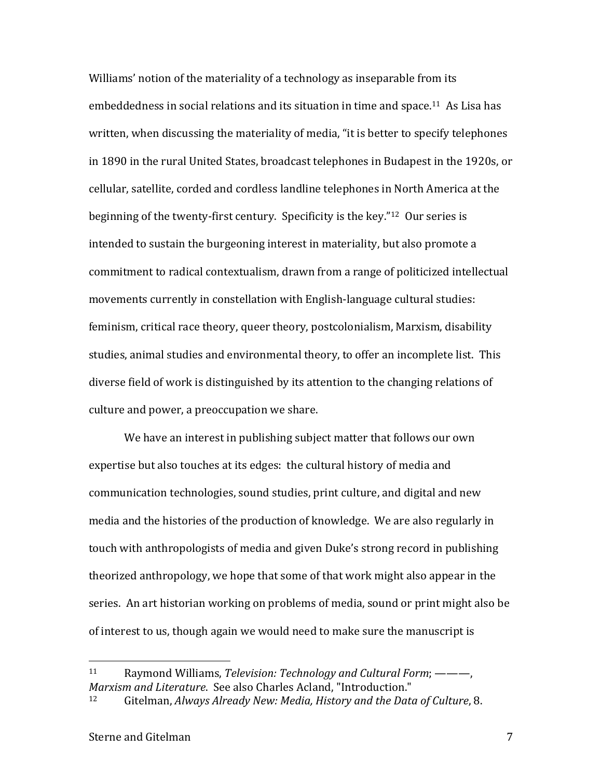Williams' notion of the materiality of a technology as inseparable from its embeddedness in social relations and its situation in time and space.<sup>11</sup> As Lisa has written, when discussing the materiality of media, "it is better to specify telephones in 1890 in the rural United States, broadcast telephones in Budapest in the 1920s, or cellular, satellite, corded and cordless landline telephones in North America at the beginning of the twenty-first century. Specificity is the key." $12$  Our series is intended to sustain the burgeoning interest in materiality, but also promote a commitment to radical contextualism, drawn from a range of politicized intellectual movements currently in constellation with English-language cultural studies: feminism, critical race theory, queer theory, postcolonialism, Marxism, disability studies, animal studies and environmental theory, to offer an incomplete list. This diverse field of work is distinguished by its attention to the changing relations of culture and power, a preoccupation we share.

We have an interest in publishing subject matter that follows our own expertise but also touches at its edges: the cultural history of media and communication technologies, sound studies, print culture, and digital and new media and the histories of the production of knowledge. We are also regularly in touch with anthropologists of media and given Duke's strong record in publishing theorized anthropology, we hope that some of that work might also appear in the series. An art historian working on problems of media, sound or print might also be of interest to us, though again we would need to make sure the manuscript is

<sup>11</sup> Raymond Williams, *Television: Technology and Cultural Form*; ———, *Marxism and Literature.* See also Charles Acland, "Introduction."

<sup>12</sup> Gitelman, *Always Already New: Media, History and the Data of Culture*, 8.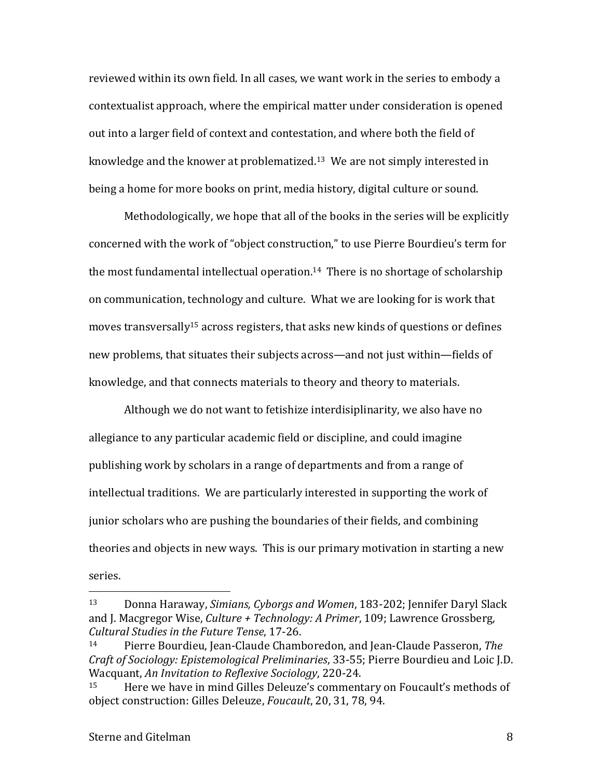reviewed within its own field. In all cases, we want work in the series to embody a contextualist approach, where the empirical matter under consideration is opened out into a larger field of context and contestation, and where both the field of knowledge and the knower at problematized.<sup>13</sup> We are not simply interested in being a home for more books on print, media history, digital culture or sound.

Methodologically, we hope that all of the books in the series will be explicitly concerned with the work of "object construction," to use Pierre Bourdieu's term for the most fundamental intellectual operation.<sup>14</sup> There is no shortage of scholarship on communication, technology and culture. What we are looking for is work that moves transversally<sup>15</sup> across registers, that asks new kinds of questions or defines new problems, that situates their subjects across—and not just within—fields of knowledge, and that connects materials to theory and theory to materials.

Although we do not want to fetishize interdisiplinarity, we also have no allegiance to any particular academic field or discipline, and could imagine publishing work by scholars in a range of departments and from a range of intellectual traditions. We are particularly interested in supporting the work of junior scholars who are pushing the boundaries of their fields, and combining theories and objects in new ways. This is our primary motivation in starting a new series. 

<sup>&</sup>lt;sup>13</sup> Donna Haraway, *Simians, Cyborgs and Women*, 183-202; Jennifer Daryl Slack and J. Macgregor Wise, *Culture + Technology: A Primer*, 109; Lawrence Grossberg, *Cultural Studies in the Future Tense*, 17-26.

<sup>14</sup> Pierre Bourdieu, Jean-Claude Chamboredon, and Jean-Claude Passeron, The *Craft of Sociology: Epistemological Preliminaries,* 33-55; Pierre Bourdieu and Loic J.D. Wacquant, An Invitation to Reflexive Sociology, 220-24.

<sup>&</sup>lt;sup>15</sup> Here we have in mind Gilles Deleuze's commentary on Foucault's methods of object construction: Gilles Deleuze, *Foucault*, 20, 31, 78, 94.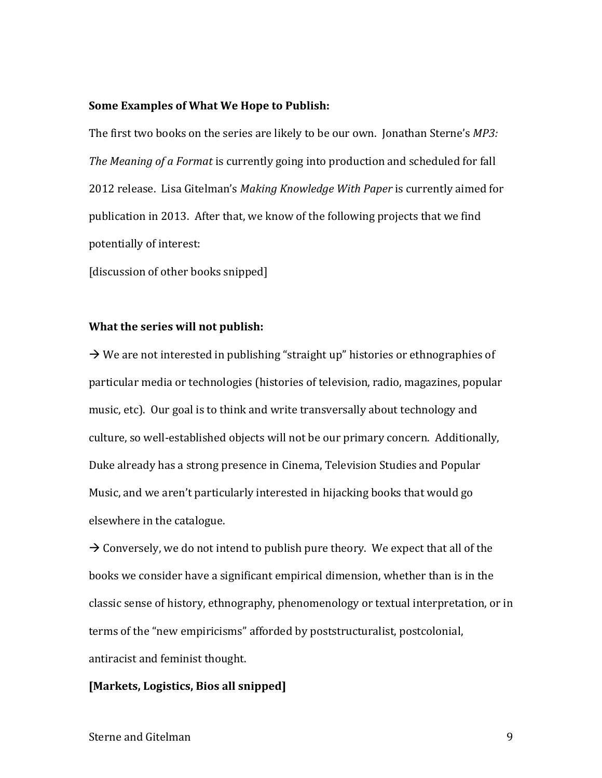#### **Some Examples of What We Hope to Publish:**

The first two books on the series are likely to be our own. Jonathan Sterne's *MP3: The Meaning of a Format* is currently going into production and scheduled for fall 2012 release. Lisa Gitelman's *Making Knowledge With Paper* is currently aimed for publication in 2013. After that, we know of the following projects that we find potentially of interest:

[discussion of other books snipped]

### **What the series will not publish:**

 $\rightarrow$  We are not interested in publishing "straight up" histories or ethnographies of particular media or technologies (histories of television, radio, magazines, popular music, etc). Our goal is to think and write transversally about technology and culture, so well-established objects will not be our primary concern. Additionally, Duke already has a strong presence in Cinema, Television Studies and Popular Music, and we aren't particularly interested in hijacking books that would go elsewhere in the catalogue.

 $\rightarrow$  Conversely, we do not intend to publish pure theory. We expect that all of the books we consider have a significant empirical dimension, whether than is in the classic sense of history, ethnography, phenomenology or textual interpretation, or in terms of the "new empiricisms" afforded by poststructuralist, postcolonial, antiracist and feminist thought.

# [Markets, Logistics, Bios all snipped]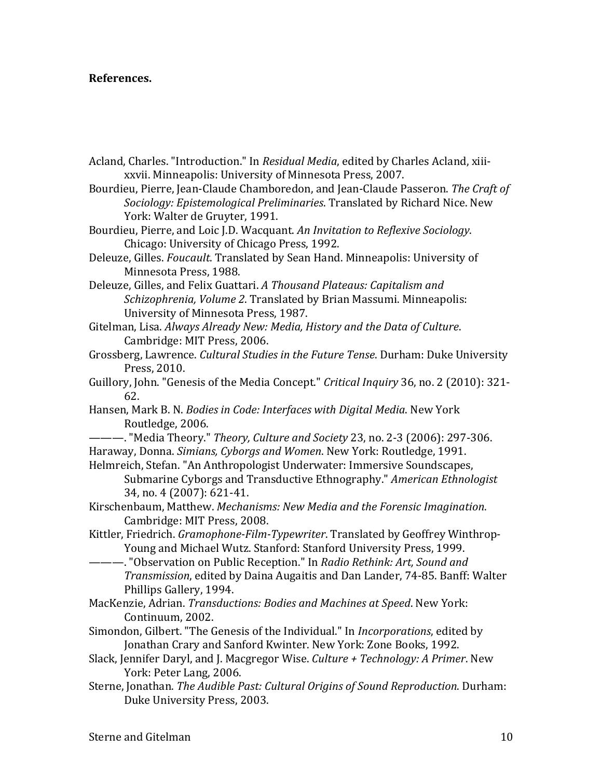## **References.**

- Acland, Charles. "Introduction." In *Residual Media*, edited by Charles Acland, xiiixxvii. Minneapolis: University of Minnesota Press, 2007.
- Bourdieu, Pierre, Jean-Claude Chamboredon, and Jean-Claude Passeron. The Craft of *Sociology: Epistemological Preliminaries*. Translated by Richard Nice. New York: Walter de Gruyter, 1991.
- Bourdieu, Pierre, and Loic J.D. Wacquant. An Invitation to Reflexive Sociology. Chicago: University of Chicago Press, 1992.
- Deleuze, Gilles. *Foucault*. Translated by Sean Hand. Minneapolis: University of Minnesota Press, 1988.
- Deleuze, Gilles, and Felix Guattari. A Thousand Plateaus: Capitalism and *Schizophrenia, Volume 2.* Translated by Brian Massumi. Minneapolis: University of Minnesota Press, 1987.
- Gitelman, Lisa. Always Already New: Media, History and the Data of Culture. Cambridge: MIT Press, 2006.
- Grossberg, Lawrence. *Cultural Studies in the Future Tense*. Durham: Duke University Press, 2010.
- Guillory, John. "Genesis of the Media Concept." *Critical Inquiry* 36, no. 2 (2010): 321-62.
- Hansen, Mark B. N. *Bodies in Code: Interfaces with Digital Media*. New York Routledge, 2006.
- ———. "Media Theory." *Theory, Culture and Society* 23, no. 2-3 (2006): 297-306. Haraway, Donna. *Simians, Cyborgs and Women*. New York: Routledge, 1991.
- Helmreich, Stefan. "An Anthropologist Underwater: Immersive Soundscapes, Submarine Cyborgs and Transductive Ethnography." *American Ethnologist* 34, no. 4 (2007): 621-41.
- Kirschenbaum, Matthew. *Mechanisms: New Media and the Forensic Imagination*. Cambridge: MIT Press, 2008.
- Kittler, Friedrich. *Gramophone-Film-Typewriter*. Translated by Geoffrey Winthrop-Young and Michael Wutz. Stanford: Stanford University Press, 1999.
- ———. "Observation on Public Reception." In *Radio Rethink: Art, Sound and Transmission*, edited by Daina Augaitis and Dan Lander, 74-85. Banff: Walter Phillips Gallery, 1994.
- MacKenzie, Adrian. *Transductions: Bodies and Machines at Speed*. New York: Continuum, 2002.
- Simondon, Gilbert. "The Genesis of the Individual." In *Incorporations*, edited by Jonathan Crary and Sanford Kwinter. New York: Zone Books, 1992.
- Slack, Jennifer Daryl, and J. Macgregor Wise. *Culture* + Technology: A Primer. New York: Peter Lang, 2006.
- Sterne, Jonathan. *The Audible Past: Cultural Origins of Sound Reproduction*. Durham: Duke University Press, 2003.